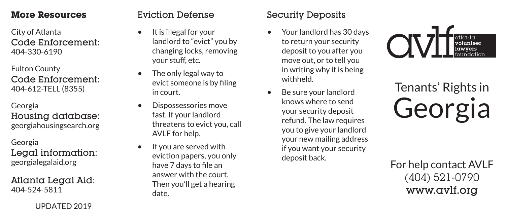#### **More Resources**

City of Atlanta Code Enforcement: 404-330-6190

Fulton County Code Enforcement: 404-612-TELL (8355)

Georgia Housing database: georgiahousingsearch.org

Georgia Legal information: georgialegalaid.org

Atlanta Legal Aid: 404-524-5811

UPDATED 2019

# Eviction Defense

- It is illegal for your landlord to "evict" you by changing locks, removing your stuff, etc.
- The only legal way to evict someone is by filing in court.
- Dispossessories move fast. If your landlord threatens to evict you, call AVLF for help.
- If you are served with eviction papers, you only have 7 days to file an answer with the court. Then you'll get a hearing date.

# Security Deposits

- Your landlord has 30 days to return your security deposit to you after you move out, or to tell you in writing why it is being withheld.
- Be sure your landlord knows where to send your security deposit refund. The law requires you to give your landlord your new mailing address if you want your security deposit back.



# Tenants' Rights in Georgia

For help contact AVLF (404) 521-0790 www.avlf.org